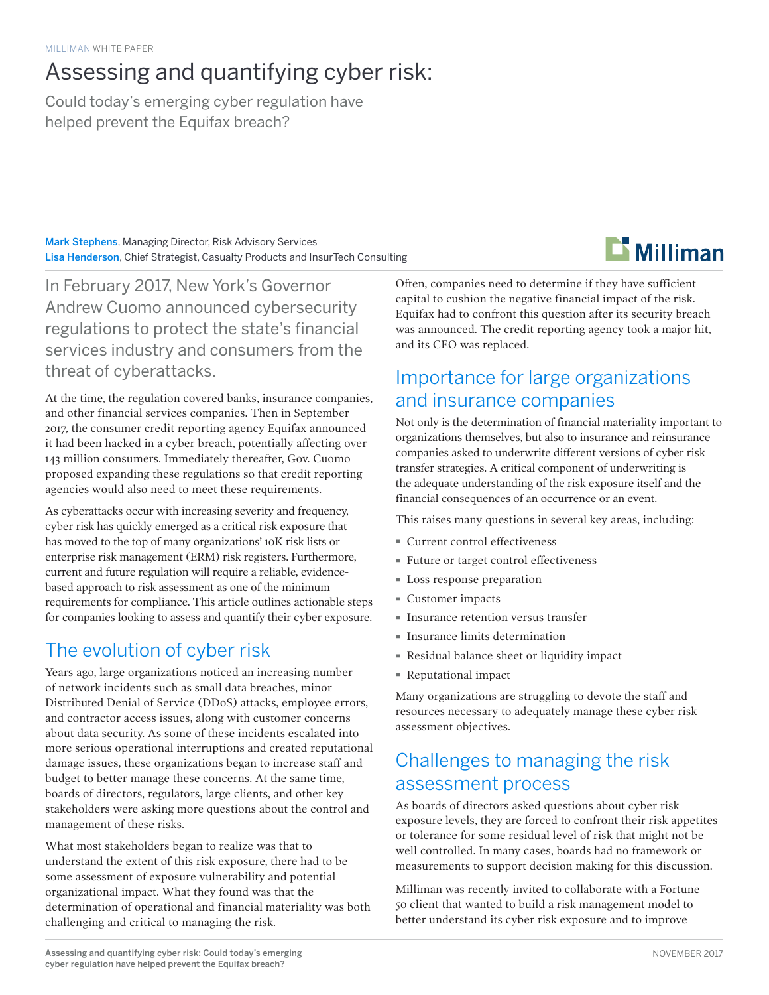# Assessing and quantifying cyber risk:

Could today's emerging cyber regulation have helped prevent the Equifax breach?

Mark Stephens, Managing Director, Risk Advisory Services Lisa Henderson, Chief Strategist, Casualty Products and InsurTech Consulting



In February 2017, New York's Governor Andrew Cuomo announced cybersecurity regulations to protect the state's financial services industry and consumers from the threat of cyberattacks.

At the time, the regulation covered banks, insurance companies, and other financial services companies. Then in September 2017, the consumer credit reporting agency Equifax announced it had been hacked in a cyber breach, potentially affecting over 143 million consumers. Immediately thereafter, Gov. Cuomo proposed expanding these regulations so that credit reporting agencies would also need to meet these requirements.

As cyberattacks occur with increasing severity and frequency, cyber risk has quickly emerged as a critical risk exposure that has moved to the top of many organizations' 10K risk lists or enterprise risk management (ERM) risk registers. Furthermore, current and future regulation will require a reliable, evidencebased approach to risk assessment as one of the minimum requirements for compliance. This article outlines actionable steps for companies looking to assess and quantify their cyber exposure.

# The evolution of cyber risk

Years ago, large organizations noticed an increasing number of network incidents such as small data breaches, minor Distributed Denial of Service (DDoS) attacks, employee errors, and contractor access issues, along with customer concerns about data security. As some of these incidents escalated into more serious operational interruptions and created reputational damage issues, these organizations began to increase staff and budget to better manage these concerns. At the same time, boards of directors, regulators, large clients, and other key stakeholders were asking more questions about the control and management of these risks.

What most stakeholders began to realize was that to understand the extent of this risk exposure, there had to be some assessment of exposure vulnerability and potential organizational impact. What they found was that the determination of operational and financial materiality was both challenging and critical to managing the risk.

Often, companies need to determine if they have sufficient capital to cushion the negative financial impact of the risk. Equifax had to confront this question after its security breach was announced. The credit reporting agency took a major hit, and its CEO was replaced.

# Importance for large organizations and insurance companies

Not only is the determination of financial materiality important to organizations themselves, but also to insurance and reinsurance companies asked to underwrite different versions of cyber risk transfer strategies. A critical component of underwriting is the adequate understanding of the risk exposure itself and the financial consequences of an occurrence or an event.

This raises many questions in several key areas, including:

- · Current control effectiveness
- · Future or target control effectiveness
- · Loss response preparation
- · Customer impacts
- · Insurance retention versus transfer
- · Insurance limits determination
- · Residual balance sheet or liquidity impact
- · Reputational impact

Many organizations are struggling to devote the staff and resources necessary to adequately manage these cyber risk assessment objectives.

# Challenges to managing the risk assessment process

As boards of directors asked questions about cyber risk exposure levels, they are forced to confront their risk appetites or tolerance for some residual level of risk that might not be well controlled. In many cases, boards had no framework or measurements to support decision making for this discussion.

Milliman was recently invited to collaborate with a Fortune 50 client that wanted to build a risk management model to better understand its cyber risk exposure and to improve